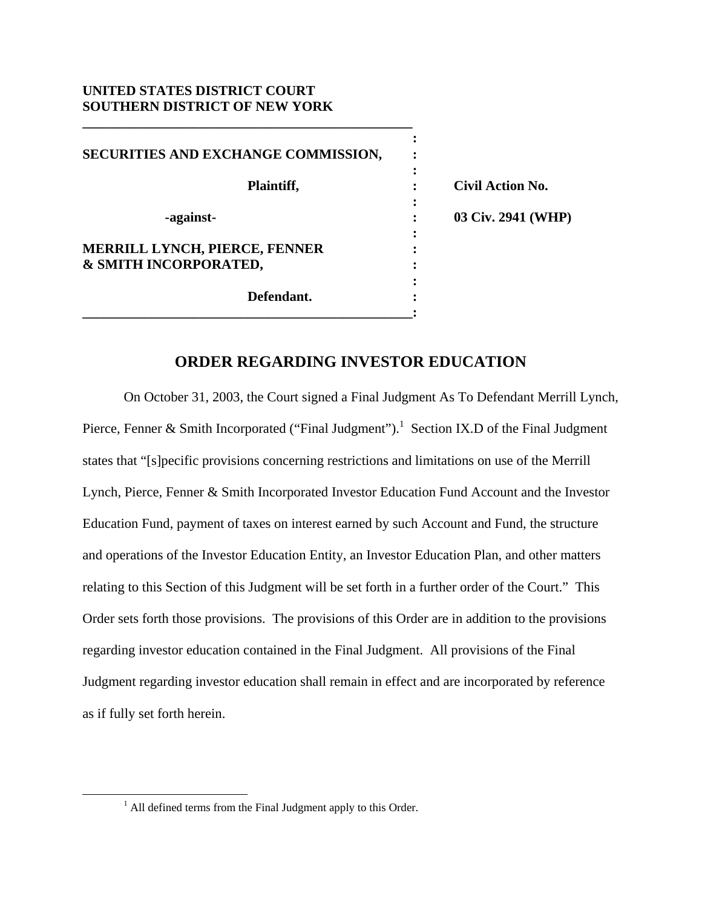## **UNITED STATES DISTRICT COURT SOUTHERN DISTRICT OF NEW YORK**

**\_\_\_\_\_\_\_\_\_\_\_\_\_\_\_\_\_\_\_\_\_\_\_\_\_\_\_\_\_\_\_\_\_\_\_\_\_\_\_\_\_\_\_\_\_\_\_\_** 

| SECURITIES AND EXCHANGE COMMISSION,                    |   |                         |
|--------------------------------------------------------|---|-------------------------|
| Plaintiff,                                             |   | <b>Civil Action No.</b> |
| -against-                                              | ٠ | 03 Civ. 2941 (WHP)      |
| MERRILL LYNCH, PIERCE, FENNER<br>& SMITH INCORPORATED, |   |                         |
| Defendant.                                             |   |                         |

## **ORDER REGARDING INVESTOR EDUCATION**

 On October 31, 2003, the Court signed a Final Judgment As To Defendant Merrill Lynch, Pierce, Fenner & Smith Incorporated ("Final Judgment").<sup>1</sup> Section IX.D of the Final Judgment states that "[s]pecific provisions concerning restrictions and limitations on use of the Merrill Lynch, Pierce, Fenner & Smith Incorporated Investor Education Fund Account and the Investor Education Fund, payment of taxes on interest earned by such Account and Fund, the structure and operations of the Investor Education Entity, an Investor Education Plan, and other matters relating to this Section of this Judgment will be set forth in a further order of the Court." This Order sets forth those provisions. The provisions of this Order are in addition to the provisions regarding investor education contained in the Final Judgment. All provisions of the Final Judgment regarding investor education shall remain in effect and are incorporated by reference as if fully set forth herein.

 $\frac{1}{1}$  $<sup>1</sup>$  All defined terms from the Final Judgment apply to this Order.</sup>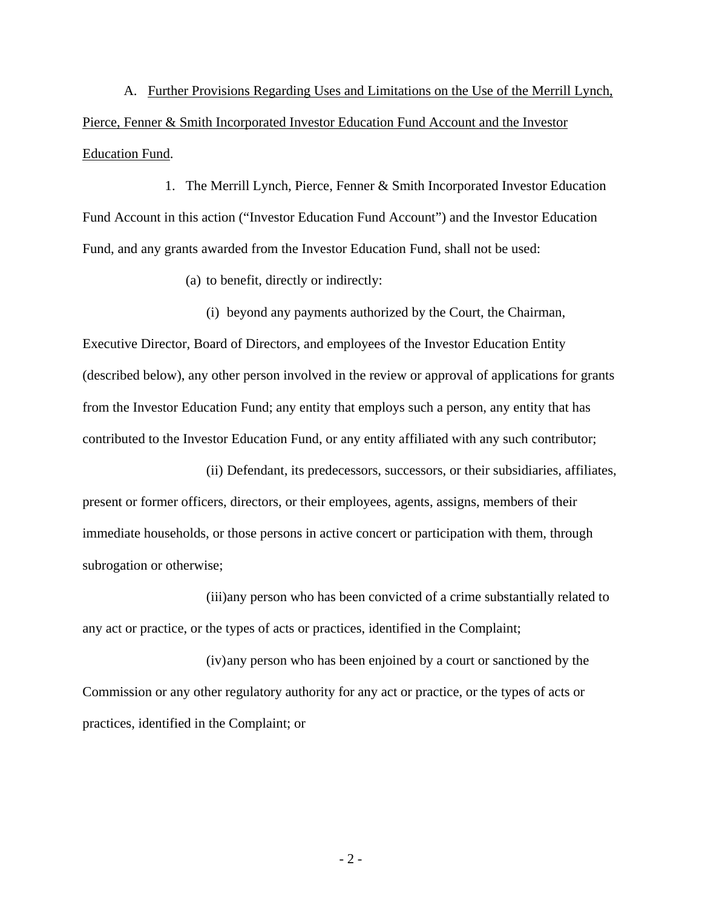A. Further Provisions Regarding Uses and Limitations on the Use of the Merrill Lynch, Pierce, Fenner & Smith Incorporated Investor Education Fund Account and the Investor Education Fund.

1. The Merrill Lynch, Pierce, Fenner & Smith Incorporated Investor Education Fund Account in this action ("Investor Education Fund Account") and the Investor Education Fund, and any grants awarded from the Investor Education Fund, shall not be used:

(a) to benefit, directly or indirectly:

(i) beyond any payments authorized by the Court, the Chairman, Executive Director, Board of Directors, and employees of the Investor Education Entity (described below), any other person involved in the review or approval of applications for grants from the Investor Education Fund; any entity that employs such a person, any entity that has contributed to the Investor Education Fund, or any entity affiliated with any such contributor;

(ii) Defendant, its predecessors, successors, or their subsidiaries, affiliates, present or former officers, directors, or their employees, agents, assigns, members of their immediate households, or those persons in active concert or participation with them, through subrogation or otherwise;

(iii)any person who has been convicted of a crime substantially related to any act or practice, or the types of acts or practices, identified in the Complaint;

(iv) any person who has been enjoined by a court or sanctioned by the Commission or any other regulatory authority for any act or practice, or the types of acts or practices, identified in the Complaint; or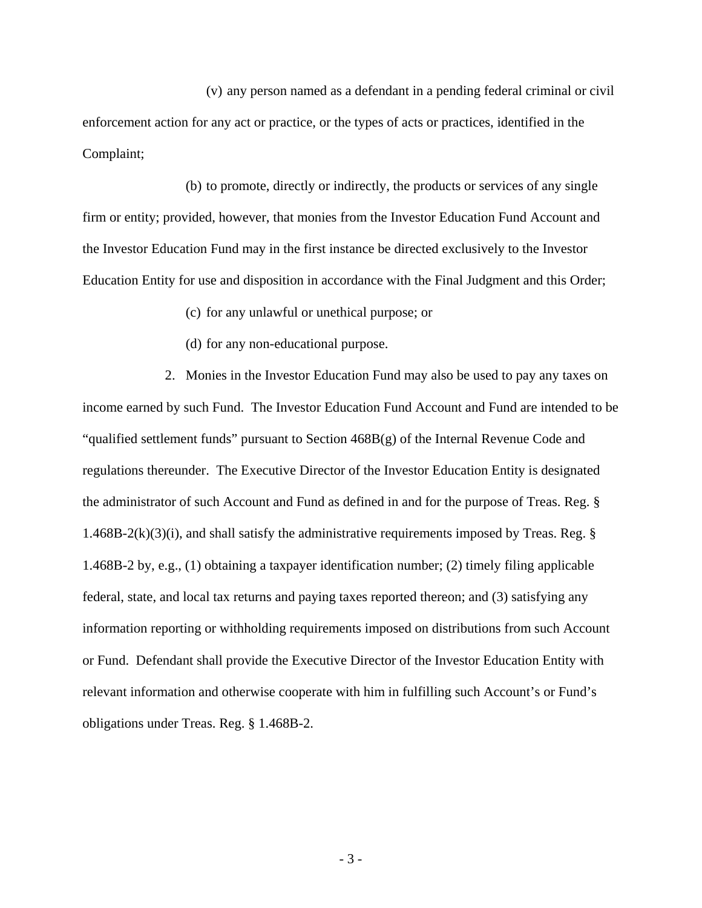(v) any person named as a defendant in a pending federal criminal or civil enforcement action for any act or practice, or the types of acts or practices, identified in the Complaint;

(b) to promote, directly or indirectly, the products or services of any single firm or entity; provided, however, that monies from the Investor Education Fund Account and the Investor Education Fund may in the first instance be directed exclusively to the Investor Education Entity for use and disposition in accordance with the Final Judgment and this Order;

(c) for any unlawful or unethical purpose; or

(d) for any non-educational purpose.

2. Monies in the Investor Education Fund may also be used to pay any taxes on income earned by such Fund. The Investor Education Fund Account and Fund are intended to be "qualified settlement funds" pursuant to Section 468B(g) of the Internal Revenue Code and regulations thereunder. The Executive Director of the Investor Education Entity is designated the administrator of such Account and Fund as defined in and for the purpose of Treas. Reg. § 1.468B-2(k)(3)(i), and shall satisfy the administrative requirements imposed by Treas. Reg.  $\S$ 1.468B-2 by, e.g., (1) obtaining a taxpayer identification number; (2) timely filing applicable federal, state, and local tax returns and paying taxes reported thereon; and (3) satisfying any information reporting or withholding requirements imposed on distributions from such Account or Fund. Defendant shall provide the Executive Director of the Investor Education Entity with relevant information and otherwise cooperate with him in fulfilling such Account's or Fund's obligations under Treas. Reg. § 1.468B-2.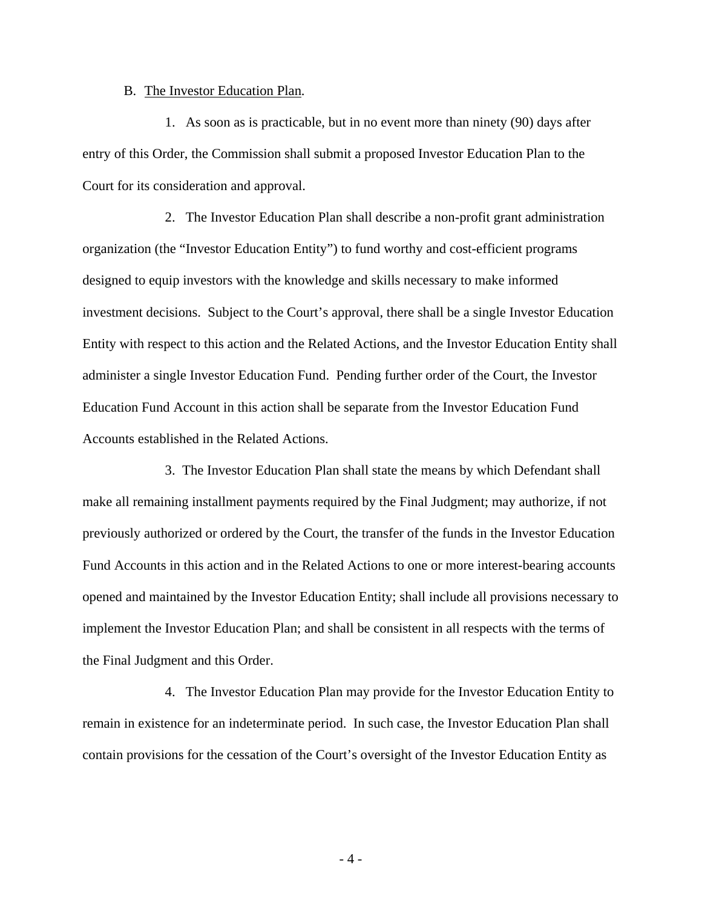## B. The Investor Education Plan.

1. As soon as is practicable, but in no event more than ninety (90) days after entry of this Order, the Commission shall submit a proposed Investor Education Plan to the Court for its consideration and approval.

2. The Investor Education Plan shall describe a non-profit grant administration organization (the "Investor Education Entity") to fund worthy and cost-efficient programs designed to equip investors with the knowledge and skills necessary to make informed investment decisions. Subject to the Court's approval, there shall be a single Investor Education Entity with respect to this action and the Related Actions, and the Investor Education Entity shall administer a single Investor Education Fund. Pending further order of the Court, the Investor Education Fund Account in this action shall be separate from the Investor Education Fund Accounts established in the Related Actions.

3. The Investor Education Plan shall state the means by which Defendant shall make all remaining installment payments required by the Final Judgment; may authorize, if not previously authorized or ordered by the Court, the transfer of the funds in the Investor Education Fund Accounts in this action and in the Related Actions to one or more interest-bearing accounts opened and maintained by the Investor Education Entity; shall include all provisions necessary to implement the Investor Education Plan; and shall be consistent in all respects with the terms of the Final Judgment and this Order.

4. The Investor Education Plan may provide for the Investor Education Entity to remain in existence for an indeterminate period. In such case, the Investor Education Plan shall contain provisions for the cessation of the Court's oversight of the Investor Education Entity as

- 4 -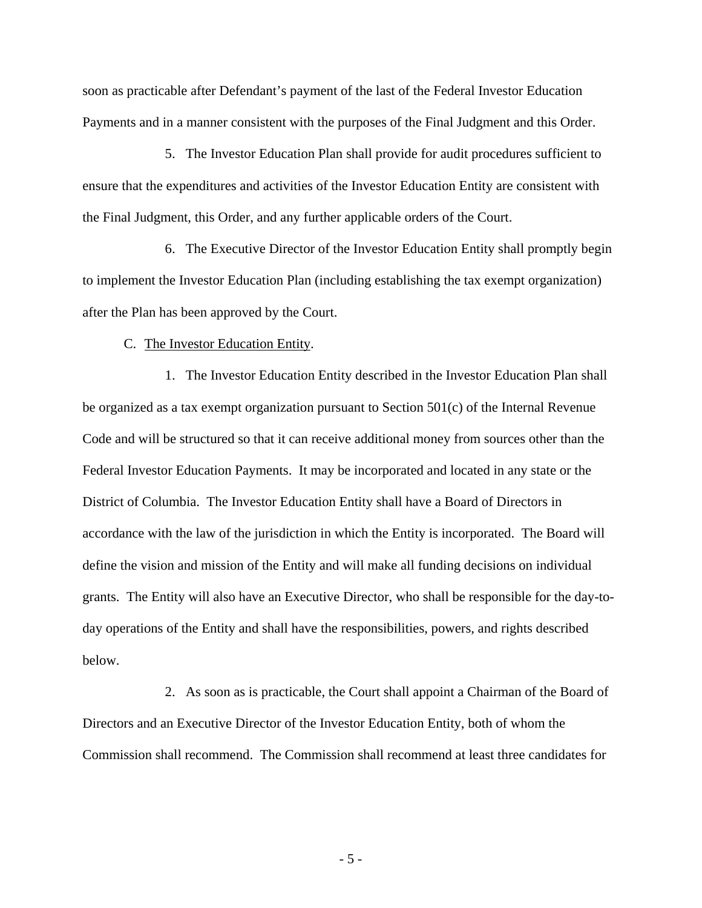soon as practicable after Defendant's payment of the last of the Federal Investor Education Payments and in a manner consistent with the purposes of the Final Judgment and this Order.

5. The Investor Education Plan shall provide for audit procedures sufficient to ensure that the expenditures and activities of the Investor Education Entity are consistent with the Final Judgment, this Order, and any further applicable orders of the Court.

6. The Executive Director of the Investor Education Entity shall promptly begin to implement the Investor Education Plan (including establishing the tax exempt organization) after the Plan has been approved by the Court.

C. The Investor Education Entity.

1. The Investor Education Entity described in the Investor Education Plan shall be organized as a tax exempt organization pursuant to Section 501(c) of the Internal Revenue Code and will be structured so that it can receive additional money from sources other than the Federal Investor Education Payments. It may be incorporated and located in any state or the District of Columbia. The Investor Education Entity shall have a Board of Directors in accordance with the law of the jurisdiction in which the Entity is incorporated. The Board will define the vision and mission of the Entity and will make all funding decisions on individual grants. The Entity will also have an Executive Director, who shall be responsible for the day-today operations of the Entity and shall have the responsibilities, powers, and rights described below.

2. As soon as is practicable, the Court shall appoint a Chairman of the Board of Directors and an Executive Director of the Investor Education Entity, both of whom the Commission shall recommend. The Commission shall recommend at least three candidates for

- 5 -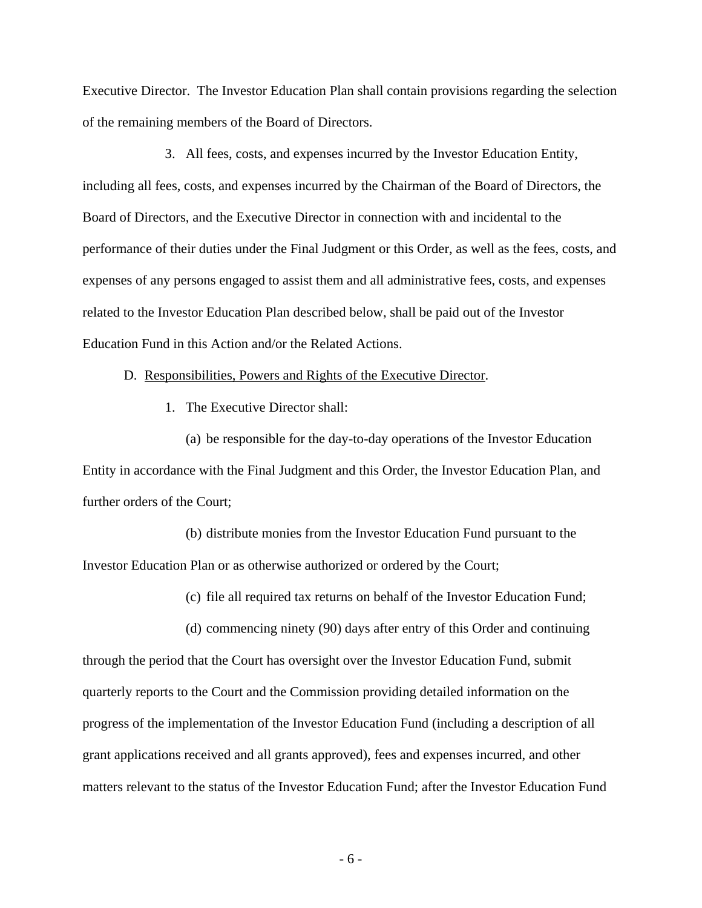Executive Director. The Investor Education Plan shall contain provisions regarding the selection of the remaining members of the Board of Directors.

3. All fees, costs, and expenses incurred by the Investor Education Entity, including all fees, costs, and expenses incurred by the Chairman of the Board of Directors, the Board of Directors, and the Executive Director in connection with and incidental to the performance of their duties under the Final Judgment or this Order, as well as the fees, costs, and expenses of any persons engaged to assist them and all administrative fees, costs, and expenses related to the Investor Education Plan described below, shall be paid out of the Investor Education Fund in this Action and/or the Related Actions.

## D. Responsibilities, Powers and Rights of the Executive Director.

1. The Executive Director shall:

(a) be responsible for the day-to-day operations of the Investor Education Entity in accordance with the Final Judgment and this Order, the Investor Education Plan, and further orders of the Court;

(b) distribute monies from the Investor Education Fund pursuant to the Investor Education Plan or as otherwise authorized or ordered by the Court;

(c) file all required tax returns on behalf of the Investor Education Fund;

(d) commencing ninety (90) days after entry of this Order and continuing through the period that the Court has oversight over the Investor Education Fund, submit quarterly reports to the Court and the Commission providing detailed information on the progress of the implementation of the Investor Education Fund (including a description of all grant applications received and all grants approved), fees and expenses incurred, and other matters relevant to the status of the Investor Education Fund; after the Investor Education Fund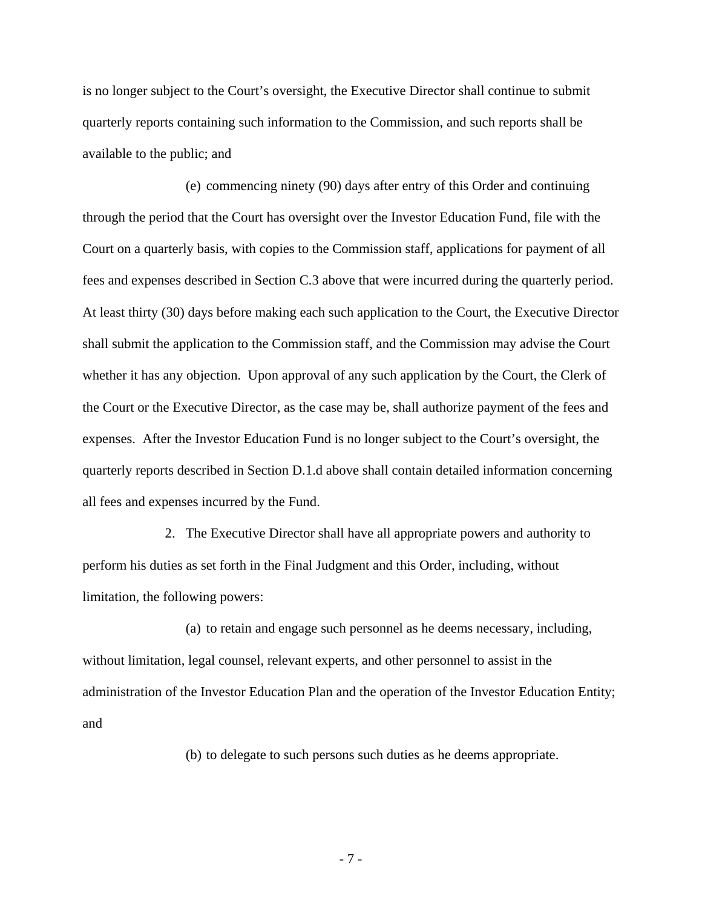is no longer subject to the Court's oversight, the Executive Director shall continue to submit quarterly reports containing such information to the Commission, and such reports shall be available to the public; and

(e) commencing ninety (90) days after entry of this Order and continuing through the period that the Court has oversight over the Investor Education Fund, file with the Court on a quarterly basis, with copies to the Commission staff, applications for payment of all fees and expenses described in Section C.3 above that were incurred during the quarterly period. At least thirty (30) days before making each such application to the Court, the Executive Director shall submit the application to the Commission staff, and the Commission may advise the Court whether it has any objection. Upon approval of any such application by the Court, the Clerk of the Court or the Executive Director, as the case may be, shall authorize payment of the fees and expenses. After the Investor Education Fund is no longer subject to the Court's oversight, the quarterly reports described in Section D.1.d above shall contain detailed information concerning all fees and expenses incurred by the Fund.

2. The Executive Director shall have all appropriate powers and authority to perform his duties as set forth in the Final Judgment and this Order, including, without limitation, the following powers:

(a) to retain and engage such personnel as he deems necessary, including, without limitation, legal counsel, relevant experts, and other personnel to assist in the administration of the Investor Education Plan and the operation of the Investor Education Entity; and

(b) to delegate to such persons such duties as he deems appropriate.

- 7 -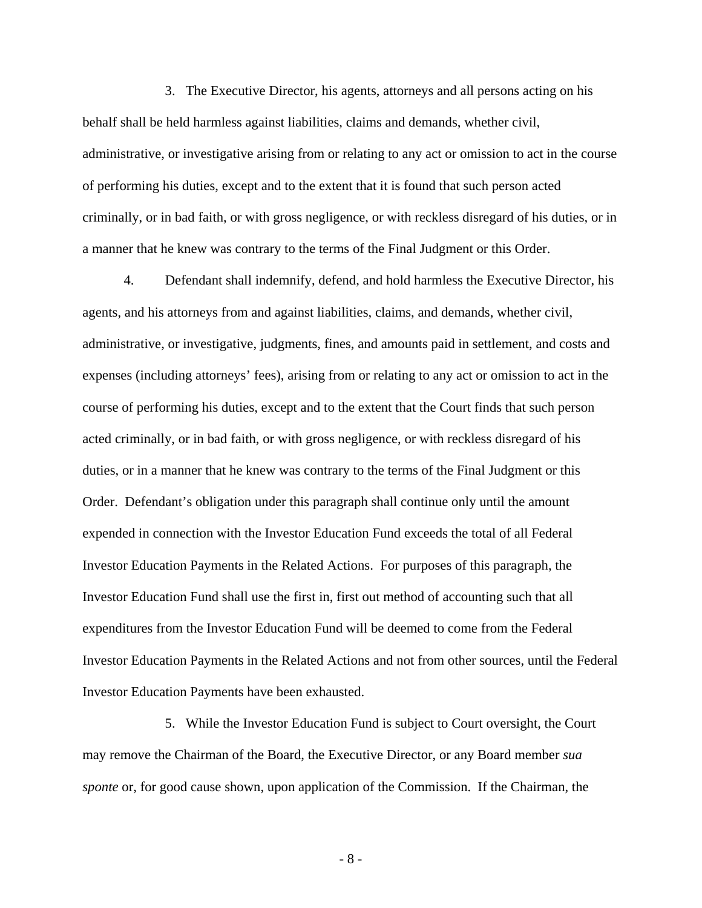3. The Executive Director, his agents, attorneys and all persons acting on his behalf shall be held harmless against liabilities, claims and demands, whether civil, administrative, or investigative arising from or relating to any act or omission to act in the course of performing his duties, except and to the extent that it is found that such person acted criminally, or in bad faith, or with gross negligence, or with reckless disregard of his duties, or in a manner that he knew was contrary to the terms of the Final Judgment or this Order.

4. Defendant shall indemnify, defend, and hold harmless the Executive Director, his agents, and his attorneys from and against liabilities, claims, and demands, whether civil, administrative, or investigative, judgments, fines, and amounts paid in settlement, and costs and expenses (including attorneys' fees), arising from or relating to any act or omission to act in the course of performing his duties, except and to the extent that the Court finds that such person acted criminally, or in bad faith, or with gross negligence, or with reckless disregard of his duties, or in a manner that he knew was contrary to the terms of the Final Judgment or this Order. Defendant's obligation under this paragraph shall continue only until the amount expended in connection with the Investor Education Fund exceeds the total of all Federal Investor Education Payments in the Related Actions. For purposes of this paragraph, the Investor Education Fund shall use the first in, first out method of accounting such that all expenditures from the Investor Education Fund will be deemed to come from the Federal Investor Education Payments in the Related Actions and not from other sources, until the Federal Investor Education Payments have been exhausted.

5. While the Investor Education Fund is subject to Court oversight, the Court may remove the Chairman of the Board, the Executive Director, or any Board member *sua sponte* or, for good cause shown, upon application of the Commission. If the Chairman, the

- 8 -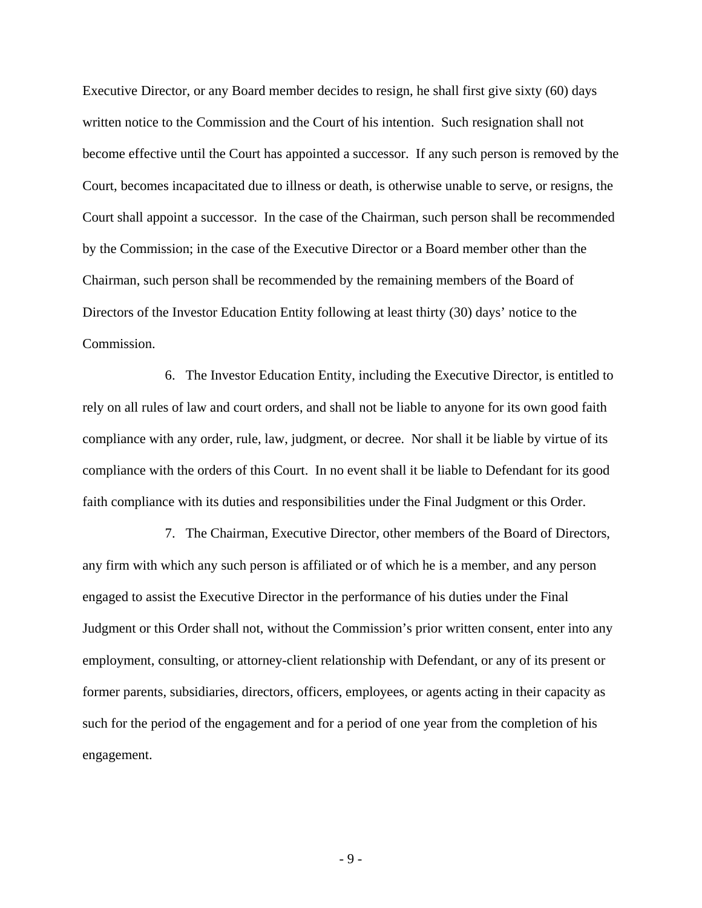Executive Director, or any Board member decides to resign, he shall first give sixty (60) days written notice to the Commission and the Court of his intention. Such resignation shall not become effective until the Court has appointed a successor. If any such person is removed by the Court, becomes incapacitated due to illness or death, is otherwise unable to serve, or resigns, the Court shall appoint a successor. In the case of the Chairman, such person shall be recommended by the Commission; in the case of the Executive Director or a Board member other than the Chairman, such person shall be recommended by the remaining members of the Board of Directors of the Investor Education Entity following at least thirty (30) days' notice to the Commission.

6. The Investor Education Entity, including the Executive Director, is entitled to rely on all rules of law and court orders, and shall not be liable to anyone for its own good faith compliance with any order, rule, law, judgment, or decree. Nor shall it be liable by virtue of its compliance with the orders of this Court. In no event shall it be liable to Defendant for its good faith compliance with its duties and responsibilities under the Final Judgment or this Order.

7. The Chairman, Executive Director, other members of the Board of Directors, any firm with which any such person is affiliated or of which he is a member, and any person engaged to assist the Executive Director in the performance of his duties under the Final Judgment or this Order shall not, without the Commission's prior written consent, enter into any employment, consulting, or attorney-client relationship with Defendant, or any of its present or former parents, subsidiaries, directors, officers, employees, or agents acting in their capacity as such for the period of the engagement and for a period of one year from the completion of his engagement.

- 9 -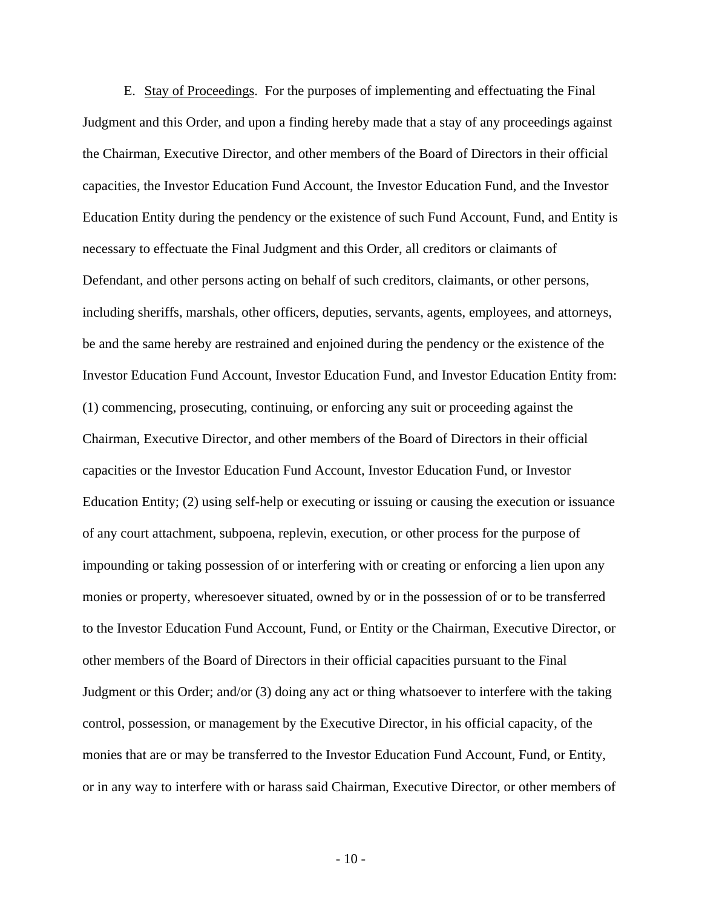E. Stay of Proceedings. For the purposes of implementing and effectuating the Final Judgment and this Order, and upon a finding hereby made that a stay of any proceedings against the Chairman, Executive Director, and other members of the Board of Directors in their official capacities, the Investor Education Fund Account, the Investor Education Fund, and the Investor Education Entity during the pendency or the existence of such Fund Account, Fund, and Entity is necessary to effectuate the Final Judgment and this Order, all creditors or claimants of Defendant, and other persons acting on behalf of such creditors, claimants, or other persons, including sheriffs, marshals, other officers, deputies, servants, agents, employees, and attorneys, be and the same hereby are restrained and enjoined during the pendency or the existence of the Investor Education Fund Account, Investor Education Fund, and Investor Education Entity from: (1) commencing, prosecuting, continuing, or enforcing any suit or proceeding against the Chairman, Executive Director, and other members of the Board of Directors in their official capacities or the Investor Education Fund Account, Investor Education Fund, or Investor Education Entity; (2) using self-help or executing or issuing or causing the execution or issuance of any court attachment, subpoena, replevin, execution, or other process for the purpose of impounding or taking possession of or interfering with or creating or enforcing a lien upon any monies or property, wheresoever situated, owned by or in the possession of or to be transferred to the Investor Education Fund Account, Fund, or Entity or the Chairman, Executive Director, or other members of the Board of Directors in their official capacities pursuant to the Final Judgment or this Order; and/or (3) doing any act or thing whatsoever to interfere with the taking control, possession, or management by the Executive Director, in his official capacity, of the monies that are or may be transferred to the Investor Education Fund Account, Fund, or Entity, or in any way to interfere with or harass said Chairman, Executive Director, or other members of